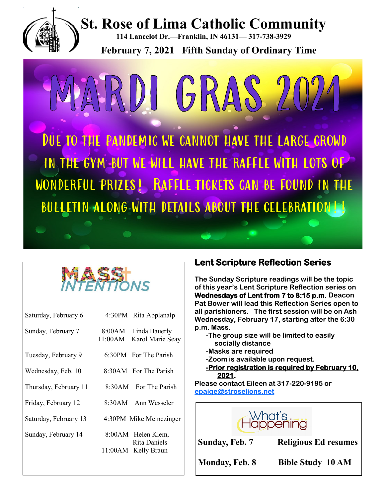



| Saturday, February 6  |         | 4:30PM Rita Abplanalp                    |
|-----------------------|---------|------------------------------------------|
| Sunday, February 7    | 11:00AM | 8:00AM Linda Bauerly<br>Karol Marie Seay |
| Tuesday, February 9   |         | 6:30PM For The Parish                    |
| Wednesday, Feb. 10    |         | 8:30AM For The Parish                    |
| Thursday, February 11 |         | 8:30AM For The Parish                    |
| Friday, February 12   |         | 8:30AM Ann Wesseler                      |
| Saturday, February 13 |         | 4:30PM Mike Meinczinger                  |
| Sunday, February 14   |         | 8:00AM Helen Klem,<br>Rita Daniels       |
|                       |         | 11:00AM Kelly Braun                      |
|                       |         |                                          |

## **Lent Scripture Reflection Series**

**The Sunday Scripture readings will be the topic of this year's Lent Scripture Reflection series on Wednesdays of Lent from 7 to 8:15 p.m. Deacon Pat Bower will lead this Reflection Series open to all parishioners. The first session will be on Ash Wednesday, February 17, starting after the 6:30 p.m. Mass.** 

- **-The group size will be limited to easily socially distance**
- **-Masks are required**
- **-Zoom is available upon request.**

**-Prior registration is required by February 10, 2021.** 

**Please contact Eileen at 317-220-9195 or [epaige@stroselions.net](mailto:epaige@stroselions.net)** 



**Sunday, Feb. 7 Religious Ed resumes**

**Monday, Feb. 8 Bible Study 10 AM**